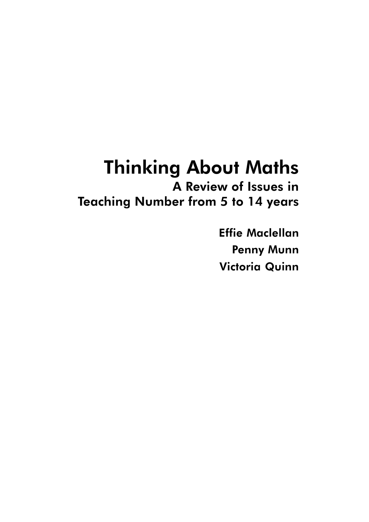# **Thinking About Maths**

A Review of Issues in **Teaching Number from 5 to 14 years** 

> **Effie Maclellan Penny Munn** Victoria Quinn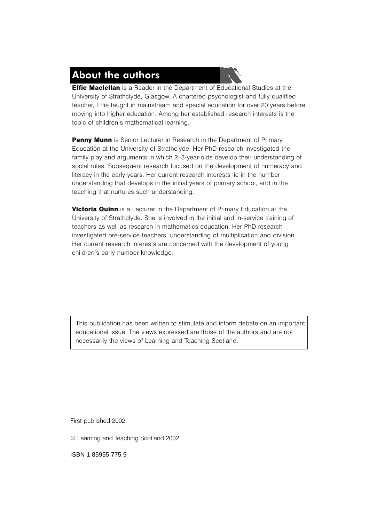# **About the authors**



**Penny Munn** is Senior Lecturer in Research in the Department of Primary Education at the University of Strathclyde. Her PhD research investigated the family play and arguments in which 2-3-year-olds develop their understanding of social rules. Subsequent research focused on the development of numeracy and literacy in the early years. Her current research interests lie in the number understanding that develops in the initial years of primary school, and in the teaching that nurtures such understanding.

Victoria Quinn is a Lecturer in the Department of Primary Education at the University of Strathclyde. She is involved in the initial and in-service training of teachers as well as research in mathematics education. Her PhD research investigated pre-service teachers' understanding of multiplication and division. Her current research interests are concerned with the development of young children's early number knowledge.

This publication has been written to stimulate and inform debate on an important educational issue. The views expressed are those of the authors and are not necessarily the views of Learning and Teaching Scotland.

First published 2002

© Learning and Teaching Scotland 2002

ISBN 1859557759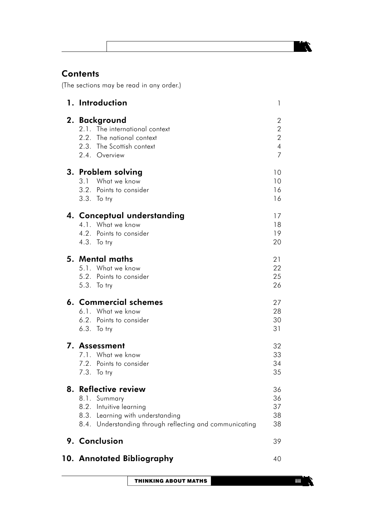### **Contents**

(The sections may be read in any order.)

| 1. Introduction                                                                                                                                                | 1                                                                     |
|----------------------------------------------------------------------------------------------------------------------------------------------------------------|-----------------------------------------------------------------------|
| 2. Background<br>2.1. The international context<br>2.2. The national context<br>2.3. The Scottish context<br>2.4. Overview                                     | 2<br>$\sqrt{2}$<br>$\overline{2}$<br>$\overline{4}$<br>$\overline{7}$ |
| 3. Problem solving<br>3.1 What we know<br>3.2. Points to consider<br>3.3. To try                                                                               | 10<br>10<br>16<br>16                                                  |
| 4. Conceptual understanding<br>4.1. What we know<br>4.2. Points to consider<br>4.3. To try                                                                     | 17<br>18<br>19<br>20                                                  |
| 5. Mental maths<br>5.1. What we know<br>5.2. Points to consider<br>5.3. To try                                                                                 | 21<br>22<br>25<br>26                                                  |
| 6. Commercial schemes<br>6.1. What we know<br>6.2. Points to consider<br>6.3. To try                                                                           | 27<br>28<br>30<br>31                                                  |
| 7. Assessment<br>7.1. What we know<br>7.2. Points to consider<br>7.3. To try                                                                                   | 32<br>33<br>34<br>35                                                  |
| 8. Reflective review<br>8.1. Summary<br>8.2. Intuitive learning<br>8.3. Learning with understanding<br>8.4. Understanding through reflecting and communicating | 36<br>36<br>37<br>38<br>38                                            |
| 9. Conclusion                                                                                                                                                  | 39                                                                    |
| 10. Annotated Bibliography                                                                                                                                     | 40                                                                    |

ТX.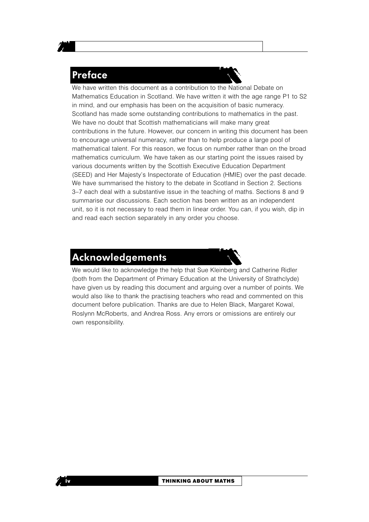### **Preface**

We have written this document as a contribution to the National Debate on Mathematics Education in Scotland. We have written it with the age range P1 to S2 in mind, and our emphasis has been on the acquisition of basic numeracy. Scotland has made some outstanding contributions to mathematics in the past. We have no doubt that Scottish mathematicians will make many great contributions in the future. However, our concern in writing this document has been to encourage universal numeracy, rather than to help produce a large pool of mathematical talent. For this reason, we focus on number rather than on the broad mathematics curriculum. We have taken as our starting point the issues raised by various documents written by the Scottish Executive Education Department (SEED) and Her Majesty's Inspectorate of Education (HMIE) over the past decade. We have summarised the history to the debate in Scotland in Section 2. Sections 3-7 each deal with a substantive issue in the teaching of maths. Sections 8 and 9 summarise our discussions. Each section has been written as an independent unit, so it is not necessary to read them in linear order. You can, if you wish, dip in and read each section separately in any order you choose.

# **Acknowledgements**

iv

We would like to acknowledge the help that Sue Kleinberg and Catherine Ridler (both from the Department of Primary Education at the University of Strathclyde) have given us by reading this document and arguing over a number of points. We would also like to thank the practising teachers who read and commented on this document before publication. Thanks are due to Helen Black, Margaret Kowal, Roslynn McRoberts, and Andrea Ross. Any errors or omissions are entirely our own responsibility.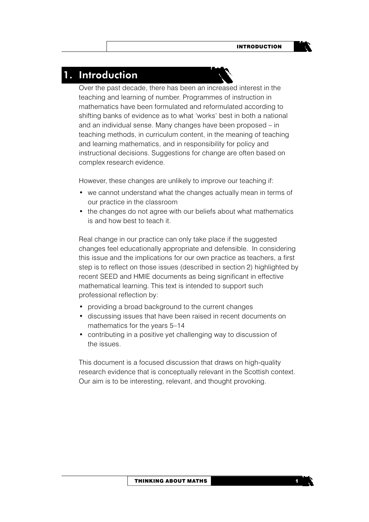### . Introduction

Over the past decade, there has been an increased interest in the teaching and learning of number. Programmes of instruction in mathematics have been formulated and reformulated according to shifting banks of evidence as to what 'works' best in both a national and an individual sense. Many changes have been proposed – in teaching methods, in curriculum content, in the meaning of teaching and learning mathematics, and in responsibility for policy and instructional decisions. Suggestions for change are often based on complex research evidence.

However, these changes are unlikely to improve our teaching if:

- we cannot understand what the changes actually mean in terms of our practice in the classroom
- the changes do not agree with our beliefs about what mathematics is and how best to teach it.

Real change in our practice can only take place if the suggested changes feel educationally appropriate and defensible. In considering this issue and the implications for our own practice as teachers, a first step is to reflect on those issues (described in section 2) highlighted by recent SEED and HMIE documents as being significant in effective mathematical learning. This text is intended to support such professional reflection by:

- providing a broad background to the current changes
- discussing issues that have been raised in recent documents on mathematics for the years 5-14
- contributing in a positive yet challenging way to discussion of the issues

This document is a focused discussion that draws on high-quality research evidence that is conceptually relevant in the Scottish context. Our aim is to be interesting, relevant, and thought provoking.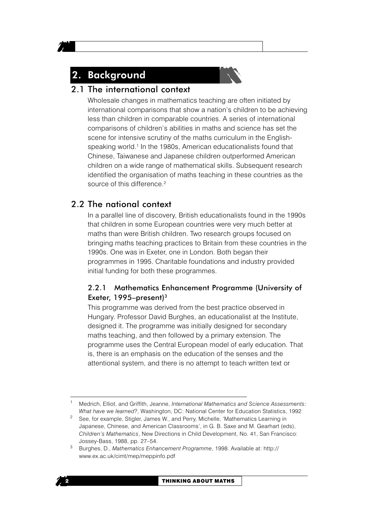### 2. Background



#### 2.1 The international context

Wholesale changes in mathematics teaching are often initiated by international comparisons that show a nation's children to be achieving less than children in comparable countries. A series of international comparisons of children's abilities in maths and science has set the scene for intensive scrutiny of the maths curriculum in the Englishspeaking world.<sup>1</sup> In the 1980s, American educationalists found that Chinese, Taiwanese and Japanese children outperformed American children on a wide range of mathematical skills. Subsequent research identified the organisation of maths teaching in these countries as the source of this difference.<sup>2</sup>

### 2.2 The national context

In a parallel line of discovery, British educationalists found in the 1990s that children in some European countries were very much better at maths than were British children. Two research groups focused on bringing maths teaching practices to Britain from these countries in the 1990s. One was in Exeter, one in London. Both began their programmes in 1995. Charitable foundations and industry provided initial funding for both these programmes.

#### 2.2.1 Mathematics Enhancement Programme (University of Exeter,  $1995$ -present)<sup>3</sup>

This programme was derived from the best practice observed in Hungary. Professor David Burghes, an educationalist at the Institute, designed it. The programme was initially designed for secondary maths teaching, and then followed by a primary extension. The programme uses the Central European model of early education. That is, there is an emphasis on the education of the senses and the attentional system, and there is no attempt to teach written text or

 $\overline{\mathbf{2}}$ 

Medrich, Elliot, and Griffith, Jeanne, International Mathematics and Science Assessments: What have we learned?, Washington, DC: National Center for Education Statistics, 1992

<sup>&</sup>lt;sup>2</sup> See, for example, Stigler, James W., and Perry, Michelle, 'Mathematics Learning in Japanese, Chinese, and American Classrooms', in G. B. Saxe and M. Gearhart (eds), Children's Mathematics. New Directions in Child Development. No. 41. San Francisco: Jossey-Bass, 1988, pp. 27-54.

<sup>&</sup>lt;sup>3</sup> Burghes, D., Mathematics Enhancement Programme, 1998. Available at: http:// www.ex.ac.uk/cimt/mep/meppinfo.pdf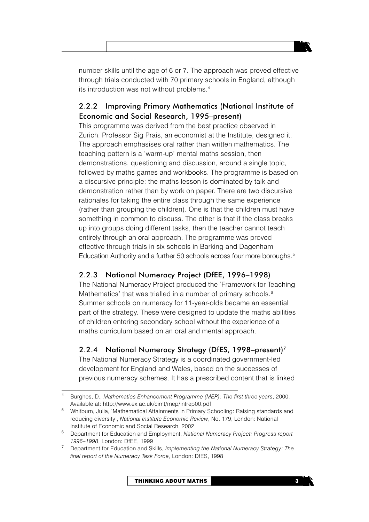number skills until the age of 6 or 7. The approach was proved effective through trials conducted with 70 primary schools in England, although its introduction was not without problems.<sup>4</sup>

#### 2.2.2 Improving Primary Mathematics (National Institute of Economic and Social Research, 1995–present)

This programme was derived from the best practice observed in Zurich. Professor Sig Prais, an economist at the Institute, designed it. The approach emphasises oral rather than written mathematics. The teaching pattern is a 'warm-up' mental maths session, then demonstrations, questioning and discussion, around a single topic, followed by maths games and workbooks. The programme is based on a discursive principle: the maths lesson is dominated by talk and demonstration rather than by work on paper. There are two discursive rationales for taking the entire class through the same experience (rather than grouping the children). One is that the children must have something in common to discuss. The other is that if the class breaks up into groups doing different tasks, then the teacher cannot teach entirely through an oral approach. The programme was proved effective through trials in six schools in Barking and Dagenham Education Authority and a further 50 schools across four more boroughs.<sup>5</sup>

#### 2.2.3 National Numeracy Project (DfEE, 1996-1998)

The National Numeracy Project produced the 'Framework for Teaching Mathematics' that was trialled in a number of primary schools.<sup>6</sup> Summer schools on numeracy for 11-year-olds became an essential part of the strategy. These were designed to update the maths abilities of children entering secondary school without the experience of a maths curriculum based on an oral and mental approach.

### 2.2.4 National Numeracy Strategy (DfES, 1998-present)<sup>7</sup>

The National Numeracy Strategy is a coordinated government-led development for England and Wales, based on the successes of previous numeracy schemes. It has a prescribed content that is linked

 $\overline{\mathbf{3}}$ 

Burghes, D., Mathematics Enhancement Programme (MEP): The first three years, 2000. Available at: http://www.ex.ac.uk/cimt/mep/intrep00.pdf

<sup>&</sup>lt;sup>5</sup> Whitburn, Julia, 'Mathematical Attainments in Primary Schooling: Raising standards and reducing diversity'. National Institute Economic Review, No. 179, London: National Institute of Economic and Social Research, 2002

<sup>&</sup>lt;sup>6</sup> Department for Education and Employment, National Numeracy Project: Progress report 1996-1998, London: DfEE, 1999

<sup>&</sup>lt;sup>7</sup> Department for Education and Skills, Implementing the National Numeracy Strategy: The final report of the Numeracy Task Force, London: DfES, 1998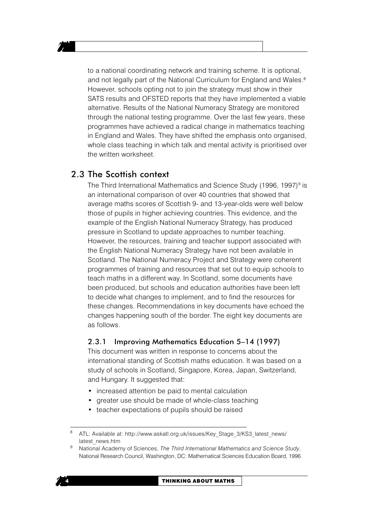to a national coordinating network and training scheme. It is optional, and not legally part of the National Curriculum for England and Wales.<sup>8</sup> However, schools opting not to join the strategy must show in their SATS results and OFSTED reports that they have implemented a viable alternative. Results of the National Numeracy Strategy are monitored through the national testing programme. Over the last few years, these programmes have achieved a radical change in mathematics teaching in England and Wales. They have shifted the emphasis onto organised. whole class teaching in which talk and mental activity is prioritised over the written worksheet.

#### 2.3 The Scottish context

The Third International Mathematics and Science Study (1996, 1997)<sup>9</sup> is an international comparison of over 40 countries that showed that average maths scores of Scottish 9- and 13-year-olds were well below those of pupils in higher achieving countries. This evidence, and the example of the English National Numeracy Strategy, has produced pressure in Scotland to update approaches to number teaching. However, the resources, training and teacher support associated with the English National Numeracy Strategy have not been available in Scotland. The National Numeracy Project and Strategy were coherent programmes of training and resources that set out to equip schools to teach maths in a different way. In Scotland, some documents have been produced, but schools and education authorities have been left to decide what changes to implement, and to find the resources for these changes. Recommendations in key documents have echoed the changes happening south of the border. The eight key documents are as follows.

#### 2.3.1 Improving Mathematics Education 5-14 (1997)

This document was written in response to concerns about the international standing of Scottish maths education. It was based on a study of schools in Scotland, Singapore, Korea, Japan, Switzerland, and Hungary. It suggested that:

- increased attention be paid to mental calculation
- greater use should be made of whole-class teaching
- teacher expectations of pupils should be raised

<sup>9</sup> National Academy of Sciences, The Third International Mathematics and Science Study, National Research Council, Washington, DC: Mathematical Sciences Education Board, 1996



<sup>8</sup> ATL: Available at: http://www.askatl.org.uk/issues/Key Stage 3/KS3 latest news/ latest news.htm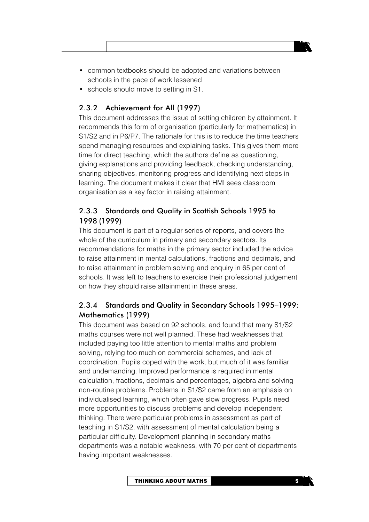- common textbooks should be adopted and variations between schools in the pace of work lessened
- schools should move to setting in S1.

### 2.3.2 Achievement for All (1997)

This document addresses the issue of setting children by attainment. It recommends this form of organisation (particularly for mathematics) in S1/S2 and in P6/P7. The rationale for this is to reduce the time teachers spend managing resources and explaining tasks. This gives them more time for direct teaching, which the authors define as questioning. giving explanations and providing feedback, checking understanding, sharing objectives, monitoring progress and identifying next steps in learning. The document makes it clear that HMI sees classroom organisation as a key factor in raising attainment.

#### 2.3.3 Standards and Quality in Scottish Schools 1995 to 1998 (1999)

This document is part of a regular series of reports, and covers the whole of the curriculum in primary and secondary sectors. Its recommendations for maths in the primary sector included the advice to raise attainment in mental calculations, fractions and decimals, and to raise attainment in problem solving and enguiry in 65 per cent of schools. It was left to teachers to exercise their professional judgement on how they should raise attainment in these areas.

#### 2.3.4 Standards and Quality in Secondary Schools 1995-1999: **Mathematics (1999)**

This document was based on 92 schools, and found that many S1/S2 maths courses were not well planned. These had weaknesses that included paying too little attention to mental maths and problem solving, relying too much on commercial schemes, and lack of coordination. Pupils coped with the work, but much of it was familiar and undemanding. Improved performance is required in mental calculation, fractions, decimals and percentages, algebra and solving non-routine problems. Problems in S1/S2 came from an emphasis on individualised learning, which often gave slow progress. Pupils need more opportunities to discuss problems and develop independent thinking. There were particular problems in assessment as part of teaching in S1/S2, with assessment of mental calculation being a particular difficulty. Development planning in secondary maths departments was a notable weakness, with 70 per cent of departments having important weaknesses.

 $\sim$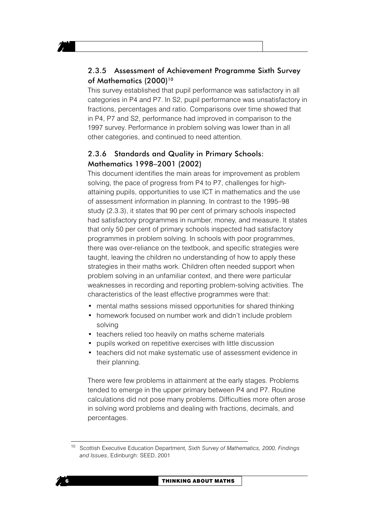#### 2.3.5 Assessment of Achievement Programme Sixth Survey of Mathematics (2000)<sup>10</sup>

This survey established that pupil performance was satisfactory in all categories in P4 and P7. In S2, pupil performance was unsatisfactory in fractions, percentages and ratio. Comparisons over time showed that in P4, P7 and S2, performance had improved in comparison to the 1997 survey. Performance in problem solving was lower than in all other categories, and continued to need attention.

#### 2.3.6 Standards and Quality in Primary Schools: Mathematics 1998-2001 (2002)

This document identifies the main areas for improvement as problem solving, the pace of progress from P4 to P7, challenges for highattaining pupils, opportunities to use ICT in mathematics and the use of assessment information in planning. In contrast to the 1995–98 study (2.3.3), it states that 90 per cent of primary schools inspected had satisfactory programmes in number, money, and measure. It states that only 50 per cent of primary schools inspected had satisfactory programmes in problem solving. In schools with poor programmes, there was over-reliance on the textbook, and specific strategies were taught, leaving the children no understanding of how to apply these strategies in their maths work. Children often needed support when problem solving in an unfamiliar context, and there were particular weaknesses in recording and reporting problem-solving activities. The characteristics of the least effective programmes were that:

- mental maths sessions missed opportunities for shared thinking
- homework focused on number work and didn't include problem solvina
- teachers relied too heavily on maths scheme materials
- pupils worked on repetitive exercises with little discussion
- teachers did not make systematic use of assessment evidence in their planning.

There were few problems in attainment at the early stages. Problems tended to emerge in the upper primary between P4 and P7. Routine calculations did not pose many problems. Difficulties more often arose in solving word problems and dealing with fractions, decimals, and percentages.



<sup>&</sup>lt;sup>10</sup> Scottish Executive Education Department, Sixth Survey of Mathematics, 2000, Findings and Issues, Edinburgh: SEED, 2001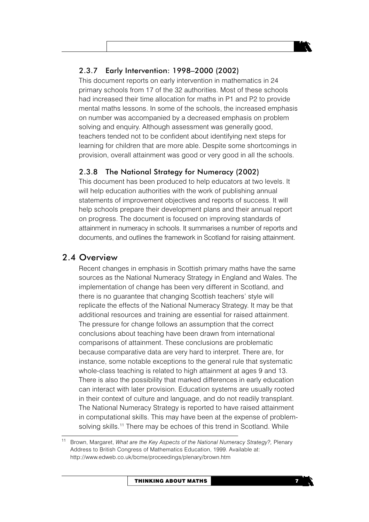#### Early Intervention: 1998-2000 (2002)  $2.3.7$

This document reports on early intervention in mathematics in 24 primary schools from 17 of the 32 authorities. Most of these schools had increased their time allocation for maths in P1 and P2 to provide mental maths lessons. In some of the schools, the increased emphasis on number was accompanied by a decreased emphasis on problem solving and enguiry. Although assessment was generally good. teachers tended not to be confident about identifying next steps for learning for children that are more able. Despite some shortcomings in provision, overall attainment was good or very good in all the schools.

#### 2.3.8 The National Strategy for Numeracy (2002)

This document has been produced to help educators at two levels. It will help education authorities with the work of publishing annual statements of improvement objectives and reports of success. It will help schools prepare their development plans and their annual report on progress. The document is focused on improving standards of attainment in numeracy in schools. It summarises a number of reports and documents, and outlines the framework in Scotland for raising attainment.

### 2.4 Overview

Recent changes in emphasis in Scottish primary maths have the same sources as the National Numeracy Strategy in England and Wales. The implementation of change has been very different in Scotland, and there is no quarantee that changing Scottish teachers' style will replicate the effects of the National Numeracy Strategy. It may be that additional resources and training are essential for raised attainment. The pressure for change follows an assumption that the correct conclusions about teaching have been drawn from international comparisons of attainment. These conclusions are problematic because comparative data are very hard to interpret. There are, for instance, some notable exceptions to the general rule that systematic whole-class teaching is related to high attainment at ages 9 and 13. There is also the possibility that marked differences in early education can interact with later provision. Education systems are usually rooted in their context of culture and language, and do not readily transplant. The National Numeracy Strategy is reported to have raised attainment in computational skills. This may have been at the expense of problemsolving skills.<sup>11</sup> There may be echoes of this trend in Scotland. While

7

 $11 -$ Brown, Margaret, What are the Key Aspects of the National Numeracy Strategy?, Plenary Address to British Congress of Mathematics Education, 1999. Available at: http://www.edweb.co.uk/bcme/proceedings/plenary/brown.htm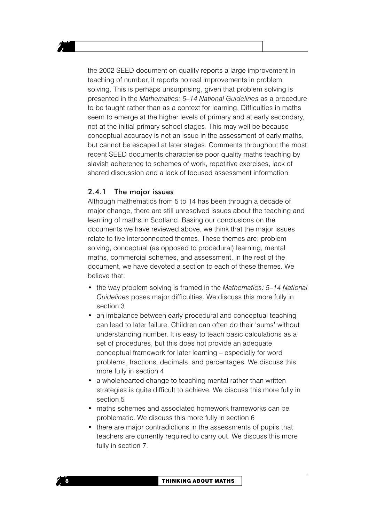the 2002 SEED document on quality reports a large improvement in teaching of number, it reports no real improvements in problem solving. This is perhaps unsurprising, given that problem solving is presented in the Mathematics: 5-14 National Guidelines as a procedure to be taught rather than as a context for learning. Difficulties in maths seem to emerge at the higher levels of primary and at early secondary, not at the initial primary school stages. This may well be because conceptual accuracy is not an issue in the assessment of early maths. but cannot be escaped at later stages. Comments throughout the most recent SEED documents characterise poor quality maths teaching by slavish adherence to schemes of work, repetitive exercises, lack of shared discussion and a lack of focused assessment information.

#### 2.4.1 The major issues

 $\mathbf{a}$ 

Although mathematics from 5 to 14 has been through a decade of major change, there are still unresolved issues about the teaching and learning of maths in Scotland. Basing our conclusions on the documents we have reviewed above, we think that the major issues relate to five interconnected themes. These themes are: problem solving, conceptual (as opposed to procedural) learning, mental maths, commercial schemes, and assessment. In the rest of the document, we have devoted a section to each of these themes. We believe that:

- the way problem solving is framed in the Mathematics: 5-14 National Guidelines poses major difficulties. We discuss this more fully in section 3
- an imbalance between early procedural and conceptual teaching can lead to later failure. Children can often do their 'sums' without understanding number. It is easy to teach basic calculations as a set of procedures, but this does not provide an adequate conceptual framework for later learning – especially for word problems, fractions, decimals, and percentages. We discuss this more fully in section 4
- a wholehearted change to teaching mental rather than written strategies is quite difficult to achieve. We discuss this more fully in section 5
- maths schemes and associated homework frameworks can be problematic. We discuss this more fully in section 6
- there are major contradictions in the assessments of pupils that teachers are currently required to carry out. We discuss this more fully in section 7.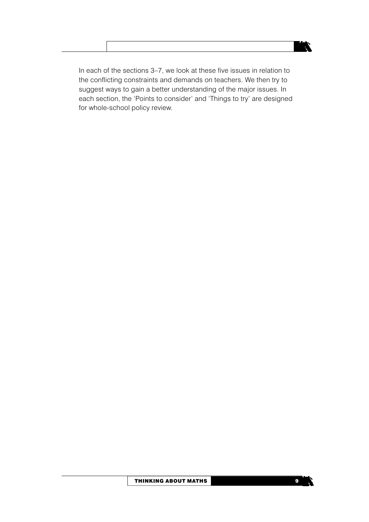In each of the sections 3-7, we look at these five issues in relation to the conflicting constraints and demands on teachers. We then try to suggest ways to gain a better understanding of the major issues. In each section, the 'Points to consider' and 'Things to try' are designed for whole-school policy review.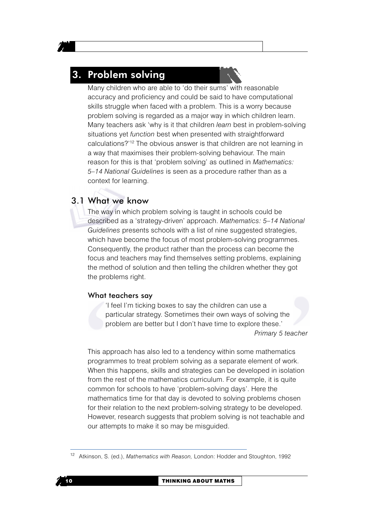### 3. Problem solving

Many children who are able to 'do their sums' with reasonable accuracy and proficiency and could be said to have computational skills struggle when faced with a problem. This is a worry because problem solving is regarded as a major way in which children learn. Many teachers ask 'why is it that children learn best in problem-solving situations yet *function* best when presented with straightforward calculations?"<sup>12</sup> The obvious answer is that children are not learning in a way that maximises their problem-solving behaviour. The main reason for this is that 'problem solving' as outlined in Mathematics: 5-14 National Guidelines is seen as a procedure rather than as a context for learning.

### 3.1 What we know

The way in which problem solving is taught in schools could be described as a 'strategy-driven' approach. Mathematics: 5-14 National Guidelines presents schools with a list of nine suggested strategies, which have become the focus of most problem-solving programmes. Consequently, the product rather than the process can become the focus and teachers may find themselves setting problems, explaining the method of solution and then telling the children whether they got the problems right.

#### What teachers say

'I feel I'm ticking boxes to say the children can use a particular strategy. Sometimes their own ways of solving the problem are better but I don't have time to explore these.' Primary 5 teacher

This approach has also led to a tendency within some mathematics programmes to treat problem solving as a separate element of work. When this happens, skills and strategies can be developed in isolation from the rest of the mathematics curriculum. For example, it is quite common for schools to have 'problem-solving days'. Here the mathematics time for that day is devoted to solving problems chosen for their relation to the next problem-solving strategy to be developed. However, research suggests that problem solving is not teachable and our attempts to make it so may be misquided.

<sup>&</sup>lt;sup>12</sup> Atkinson, S. (ed.), Mathematics with Reason, London: Hodder and Stoughton, 1992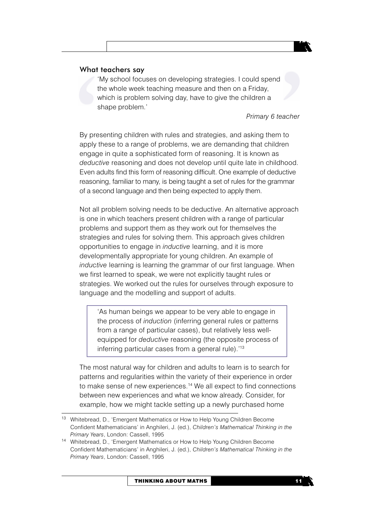#### What teachers say

'My school focuses on developing strategies. I could spend the whole week teaching measure and then on a Friday, which is problem solving day, have to give the children a shape problem.'

Primary 6 teacher

By presenting children with rules and strategies, and asking them to apply these to a range of problems, we are demanding that children engage in quite a sophisticated form of reasoning. It is known as deductive reasoning and does not develop until quite late in childhood. Even adults find this form of reasoning difficult. One example of deductive reasoning, familiar to many, is being taught a set of rules for the grammar of a second language and then being expected to apply them.

Not all problem solving needs to be deductive. An alternative approach is one in which teachers present children with a range of particular problems and support them as they work out for themselves the strategies and rules for solving them. This approach gives children opportunities to engage in *inductive* learning, and it is more developmentally appropriate for young children. An example of inductive learning is learning the grammar of our first language. When we first learned to speak, we were not explicitly taught rules or strategies. We worked out the rules for ourselves through exposure to language and the modelling and support of adults.

'As human beings we appear to be very able to engage in the process of *induction* (inferring general rules or patterns from a range of particular cases), but relatively less wellequipped for deductive reasoning (the opposite process of inferring particular cases from a general rule).<sup>13</sup>

The most natural way for children and adults to learn is to search for patterns and regularities within the variety of their experience in order to make sense of new experiences.<sup>14</sup> We all expect to find connections between new experiences and what we know already. Consider, for example, how we might tackle setting up a newly purchased home

<sup>&</sup>lt;sup>13</sup> Whitebread, D., 'Emergent Mathematics or How to Help Young Children Become Confident Mathematicians' in Anghileri, J. (ed.), Children's Mathematical Thinking in the Primary Years, London: Cassell, 1995

<sup>&</sup>lt;sup>14</sup> Whitebread, D., 'Emergent Mathematics or How to Help Young Children Become Confident Mathematicians' in Anghileri, J. (ed.), Children's Mathematical Thinking in the Primary Years, London: Cassell, 1995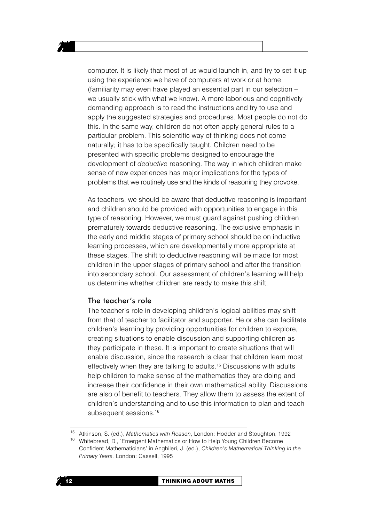computer. It is likely that most of us would launch in, and try to set it up using the experience we have of computers at work or at home (familiarity may even have played an essential part in our selection we usually stick with what we know). A more laborious and cognitively demanding approach is to read the instructions and try to use and apply the suggested strategies and procedures. Most people do not do this. In the same way, children do not often apply general rules to a particular problem. This scientific way of thinking does not come naturally; it has to be specifically taught. Children need to be presented with specific problems designed to encourage the development of *deductive* reasoning. The way in which children make sense of new experiences has major implications for the types of problems that we routinely use and the kinds of reasoning they provoke.

As teachers, we should be aware that deductive reasoning is important and children should be provided with opportunities to engage in this type of reasoning. However, we must quard against pushing children prematurely towards deductive reasoning. The exclusive emphasis in the early and middle stages of primary school should be on inductive learning processes, which are developmentally more appropriate at these stages. The shift to deductive reasoning will be made for most children in the upper stages of primary school and after the transition into secondary school. Our assessment of children's learning will help us determine whether children are ready to make this shift.

#### The teacher's role

The teacher's role in developing children's logical abilities may shift from that of teacher to facilitator and supporter. He or she can facilitate children's learning by providing opportunities for children to explore. creating situations to enable discussion and supporting children as they participate in these. It is important to create situations that will enable discussion, since the research is clear that children learn most effectively when they are talking to adults.<sup>15</sup> Discussions with adults help children to make sense of the mathematics they are doing and increase their confidence in their own mathematical ability. Discussions are also of benefit to teachers. They allow them to assess the extent of children's understanding and to use this information to plan and teach subsequent sessions.<sup>16</sup>

 $12$ 

 $15$ Atkinson, S. (ed.), Mathematics with Reason, London: Hodder and Stoughton, 1992

<sup>&</sup>lt;sup>16</sup> Whitebread, D., 'Emergent Mathematics or How to Help Young Children Become Confident Mathematicians' in Anghileri, J. (ed.), Children's Mathematical Thinking in the Primary Years, London: Cassell, 1995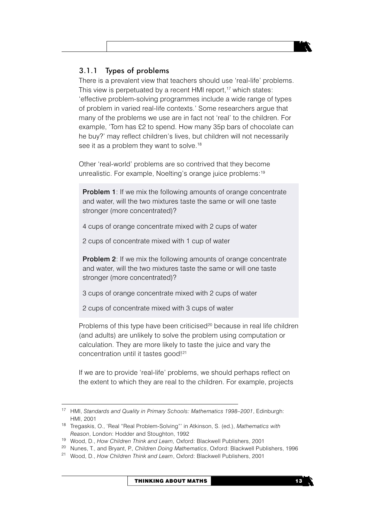#### $3.1.1$ Types of problems

There is a prevalent view that teachers should use 'real-life' problems. This view is perpetuated by a recent HMI report,<sup>17</sup> which states: 'effective problem-solving programmes include a wide range of types of problem in varied real-life contexts.' Some researchers argue that many of the problems we use are in fact not 'real' to the children. For example. 'Tom has £2 to spend. How many 35p bars of chocolate can he buy?' may reflect children's lives, but children will not necessarily see it as a problem they want to solve.<sup>18</sup>

Other 'real-world' problems are so contrived that they become unrealistic. For example, Noelting's orange juice problems:<sup>19</sup>

**Problem 1:** If we mix the following amounts of orange concentrate and water, will the two mixtures taste the same or will one taste stronger (more concentrated)?

4 cups of orange concentrate mixed with 2 cups of water

2 cups of concentrate mixed with 1 cup of water

**Problem 2:** If we mix the following amounts of orange concentrate and water, will the two mixtures taste the same or will one taste stronger (more concentrated)?

3 cups of orange concentrate mixed with 2 cups of water

2 cups of concentrate mixed with 3 cups of water

Problems of this type have been criticised<sup>20</sup> because in real life children (and adults) are unlikely to solve the problem using computation or calculation. They are more likely to taste the juice and vary the concentration until it tastes good!<sup>21</sup>

If we are to provide 'real-life' problems, we should perhaps reflect on the extent to which they are real to the children. For example, projects

<sup>&</sup>lt;sup>17</sup> HMI, Standards and Quality in Primary Schools: Mathematics 1998-2001, Edinburgh: HMI. 2001

<sup>&</sup>lt;sup>18</sup> Tregaskis, O., 'Real "Real Problem-Solving"' in Atkinson, S. (ed.), Mathematics with Reason, London: Hodder and Stoughton, 1992

<sup>&</sup>lt;sup>19</sup> Wood, D., How Children Think and Learn, Oxford: Blackwell Publishers, 2001

<sup>&</sup>lt;sup>20</sup> Nunes, T., and Bryant, P., Children Doing Mathematics, Oxford: Blackwell Publishers, 1996

<sup>&</sup>lt;sup>21</sup> Wood, D., How Children Think and Learn, Oxford: Blackwell Publishers, 2001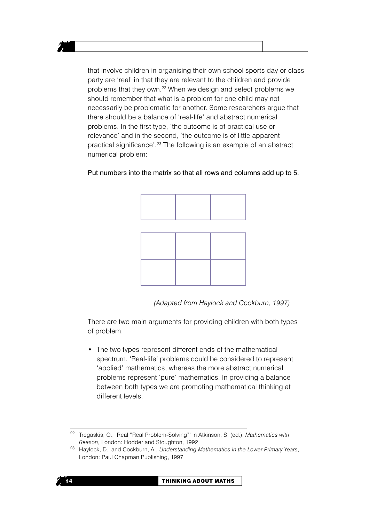that involve children in organising their own school sports day or class party are 'real' in that they are relevant to the children and provide problems that they own.<sup>22</sup> When we design and select problems we should remember that what is a problem for one child may not necessarily be problematic for another. Some researchers argue that there should be a balance of 'real-life' and abstract numerical problems. In the first type, 'the outcome is of practical use or relevance' and in the second, 'the outcome is of little apparent practical significance'.<sup>23</sup> The following is an example of an abstract numerical problem:



Put numbers into the matrix so that all rows and columns add up to 5.

(Adapted from Haylock and Cockburn, 1997)

There are two main arguments for providing children with both types of problem.

• The two types represent different ends of the mathematical spectrum. 'Real-life' problems could be considered to represent 'applied' mathematics, whereas the more abstract numerical problems represent 'pure' mathematics. In providing a balance between both types we are promoting mathematical thinking at different levels.



<sup>&</sup>lt;sup>22</sup> Tregaskis, O., 'Real "Real Problem-Solving"' in Atkinson, S. (ed.), Mathematics with Reason, London: Hodder and Stoughton, 1992

<sup>&</sup>lt;sup>23</sup> Haylock, D., and Cockburn, A., Understanding Mathematics in the Lower Primary Years, London: Paul Chapman Publishing, 1997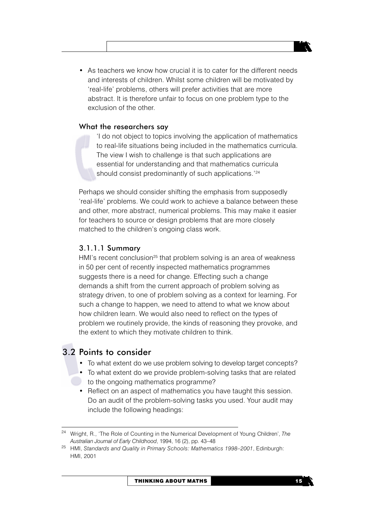• As teachers we know how crucial it is to cater for the different needs and interests of children. Whilst some children will be motivated by 'real-life' problems, others will prefer activities that are more abstract. It is therefore unfair to focus on one problem type to the exclusion of the other

#### What the researchers say

'I do not object to topics involving the application of mathematics to real-life situations being included in the mathematics curricula. The view I wish to challenge is that such applications are essential for understanding and that mathematics curricula should consist predominantly of such applications.<sup>'24</sup>

Perhaps we should consider shifting the emphasis from supposedly 'real-life' problems. We could work to achieve a balance between these and other, more abstract, numerical problems. This may make it easier for teachers to source or design problems that are more closely matched to the children's ongoing class work.

#### 3.1.1.1 Summary

HMI's recent conclusion<sup>25</sup> that problem solving is an area of weakness in 50 per cent of recently inspected mathematics programmes suggests there is a need for change. Effecting such a change demands a shift from the current approach of problem solving as strategy driven, to one of problem solving as a context for learning. For such a change to happen, we need to attend to what we know about how children learn. We would also need to reflect on the types of problem we routinely provide, the kinds of reasoning they provoke, and the extent to which they motivate children to think.

#### 3.2 Points to consider

- To what extent do we use problem solving to develop target concepts?
- $\bullet$  To what extent do we provide problem-solving tasks that are related to the ongoing mathematics programme?
	- Reflect on an aspect of mathematics you have taught this session. Do an audit of the problem-solving tasks you used. Your audit may include the following headings:

<sup>&</sup>lt;sup>24</sup> Wright, R., 'The Role of Counting in the Numerical Development of Young Children', The Australian Journal of Early Childhood, 1994, 16 (2), pp. 43-48

<sup>&</sup>lt;sup>25</sup> HMI, Standards and Quality in Primary Schools: Mathematics 1998-2001, Edinburgh: HMI. 2001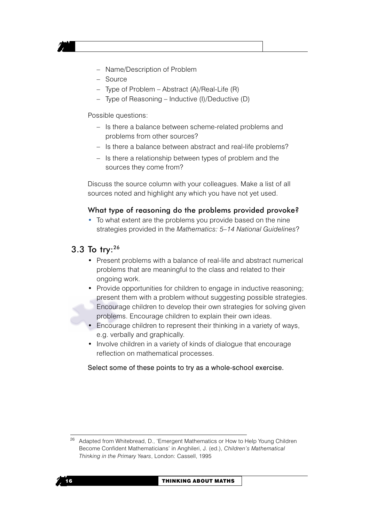

- Name/Description of Problem
- $-$  Source
- Type of Problem Abstract  $(A)/Real$ -Life  $(R)$
- Type of Reasoning Inductive (I)/Deductive (D)

#### Possible questions:

- Is there a balance between scheme-related problems and problems from other sources?
- Is there a balance between abstract and real-life problems?
- Is there a relationship between types of problem and the sources they come from?

Discuss the source column with your colleagues. Make a list of all sources noted and highlight any which you have not yet used.

#### What type of reasoning do the problems provided provoke?

• To what extent are the problems you provide based on the nine strategies provided in the Mathematics: 5-14 National Guidelines?

#### 3.3 To  $try:^{26}$

- Present problems with a balance of real-life and abstract numerical problems that are meaningful to the class and related to their ongoing work.
- Provide opportunities for children to engage in inductive reasoning; present them with a problem without suggesting possible strategies. Encourage children to develop their own strategies for solving given
- problems. Encourage children to explain their own ideas.
- Encourage children to represent their thinking in a variety of ways. e.g. verbally and graphically.
- Involve children in a variety of kinds of dialogue that encourage reflection on mathematical processes.

#### Select some of these points to try as a whole-school exercise.



<sup>&</sup>lt;sup>26</sup> Adapted from Whitebread, D., 'Emergent Mathematics or How to Help Young Children Become Confident Mathematicians' in Anghileri, J. (ed.), Children's Mathematical Thinking in the Primary Years, London: Cassell, 1995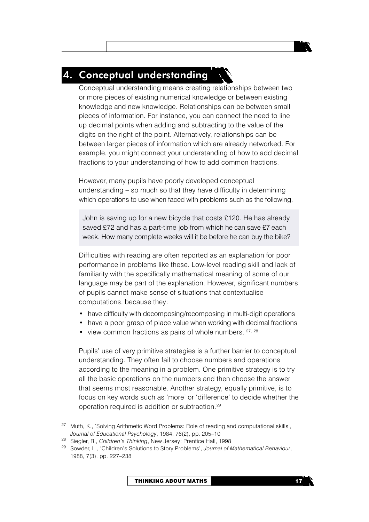## 4. Conceptual understanding

Conceptual understanding means creating relationships between two or more pieces of existing numerical knowledge or between existing knowledge and new knowledge. Relationships can be between small pieces of information. For instance, you can connect the need to line up decimal points when adding and subtracting to the value of the digits on the right of the point. Alternatively, relationships can be between larger pieces of information which are already networked. For example, you might connect your understanding of how to add decimal fractions to your understanding of how to add common fractions.

However, many pupils have poorly developed conceptual understanding – so much so that they have difficulty in determining which operations to use when faced with problems such as the following.

John is saving up for a new bicycle that costs £120. He has already saved £72 and has a part-time job from which he can save £7 each week. How many complete weeks will it be before he can buy the bike?

Difficulties with reading are often reported as an explanation for poor performance in problems like these. Low-level reading skill and lack of familiarity with the specifically mathematical meaning of some of our language may be part of the explanation. However, significant numbers of pupils cannot make sense of situations that contextualise computations, because they:

- have difficulty with decomposing/recomposing in multi-digit operations
- have a poor grasp of place value when working with decimal fractions
- view common fractions as pairs of whole numbers. 27, 28

Pupils' use of very primitive strategies is a further barrier to conceptual understanding. They often fail to choose numbers and operations according to the meaning in a problem. One primitive strategy is to try all the basic operations on the numbers and then choose the answer that seems most reasonable. Another strategy, equally primitive, is to focus on key words such as 'more' or 'difference' to decide whether the operation required is addition or subtraction.<sup>29</sup>

<sup>&</sup>lt;sup>27</sup> Muth, K., 'Solving Arithmetic Word Problems: Role of reading and computational skills', Journal of Educational Psychology, 1984, 76(2), pp. 205-10

<sup>&</sup>lt;sup>28</sup> Siegler, R., Children's Thinking, New Jersey: Prentice Hall, 1998

<sup>&</sup>lt;sup>29</sup> Sowder, L., 'Children's Solutions to Story Problems', Journal of Mathematical Behaviour, 1988, 7(3), pp. 227-238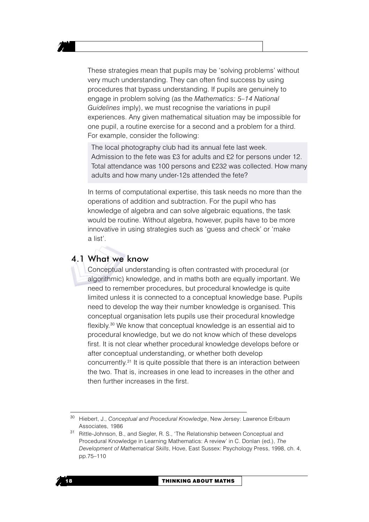These strategies mean that pupils may be 'solving problems' without very much understanding. They can often find success by using procedures that bypass understanding. If pupils are genuinely to engage in problem solving (as the Mathematics: 5-14 National Guidelines imply), we must recognise the variations in pupil experiences. Any given mathematical situation may be impossible for one pupil, a routine exercise for a second and a problem for a third. For example, consider the following:

The local photography club had its annual fete last week. Admission to the fete was £3 for adults and £2 for persons under 12. Total attendance was 100 persons and £232 was collected. How many adults and how many under-12s attended the fete?

In terms of computational expertise, this task needs no more than the operations of addition and subtraction. For the pupil who has knowledge of algebra and can solve algebraic equations, the task would be routine. Without algebra, however, pupils have to be more innovative in using strategies such as 'guess and check' or 'make a list'.

#### 4.1 What we know

Conceptual understanding is often contrasted with procedural (or algorithmic) knowledge, and in maths both are equally important. We need to remember procedures, but procedural knowledge is quite limited unless it is connected to a conceptual knowledge base. Pupils need to develop the way their number knowledge is organised. This conceptual organisation lets pupils use their procedural knowledge flexibly.<sup>30</sup> We know that conceptual knowledge is an essential aid to procedural knowledge, but we do not know which of these develops first. It is not clear whether procedural knowledge develops before or after conceptual understanding, or whether both develop concurrently.<sup>31</sup> It is quite possible that there is an interaction between the two. That is, increases in one lead to increases in the other and then further increases in the first.



<sup>&</sup>lt;sup>30</sup> Hiebert, J., Conceptual and Procedural Knowledge, New Jersey: Lawrence Erlbaum Associates, 1986

<sup>&</sup>lt;sup>31</sup> Rittle-Johnson, B., and Siegler, R. S., 'The Relationship between Conceptual and Procedural Knowledge in Learning Mathematics: A review' in C. Donlan (ed.), The Development of Mathematical Skills, Hove, East Sussex: Psychology Press, 1998, ch. 4, pp.75-110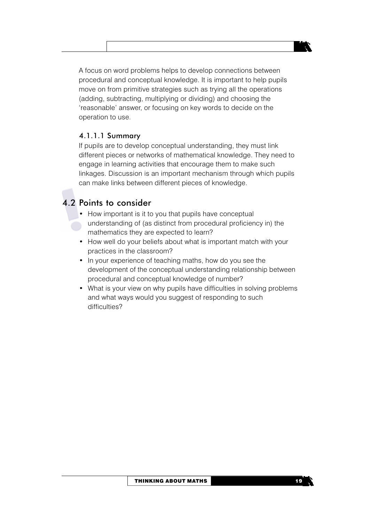A focus on word problems helps to develop connections between procedural and conceptual knowledge. It is important to help pupils move on from primitive strategies such as trying all the operations (adding, subtracting, multiplying or dividing) and choosing the 'reasonable' answer, or focusing on key words to decide on the operation to use.

#### 4.1.1.1 Summary

If pupils are to develop conceptual understanding, they must link different pieces or networks of mathematical knowledge. They need to engage in learning activities that encourage them to make such linkages. Discussion is an important mechanism through which pupils can make links between different pieces of knowledge.

#### 4.2 Points to consider

- How important is it to you that pupils have conceptual understanding of (as distinct from procedural proficiency in) the mathematics they are expected to learn?
- How well do your beliefs about what is important match with your practices in the classroom?
- In your experience of teaching maths, how do you see the development of the conceptual understanding relationship between procedural and conceptual knowledge of number?
- What is your view on why pupils have difficulties in solving problems and what ways would you suggest of responding to such difficulties?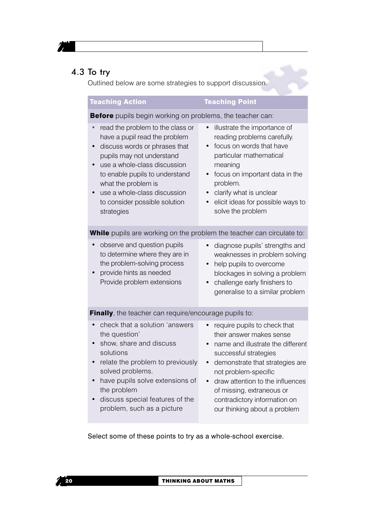### 4.3 To try

 $\mathbf{z}$ 

Outlined below are some strategies to support discussion.

| <b>Teaching Action</b>                                                                                                                                                                                                                                                                                               | <b>Teaching Point</b>                                                                                                                                                                                                                                                                                                           |  |  |  |  |  |
|----------------------------------------------------------------------------------------------------------------------------------------------------------------------------------------------------------------------------------------------------------------------------------------------------------------------|---------------------------------------------------------------------------------------------------------------------------------------------------------------------------------------------------------------------------------------------------------------------------------------------------------------------------------|--|--|--|--|--|
| <b>Before</b> pupils begin working on problems, the teacher can:                                                                                                                                                                                                                                                     |                                                                                                                                                                                                                                                                                                                                 |  |  |  |  |  |
| read the problem to the class or<br>have a pupil read the problem<br>discuss words or phrases that<br>$\bullet$<br>pupils may not understand<br>use a whole-class discussion<br>to enable pupils to understand<br>what the problem is<br>use a whole-class discussion<br>to consider possible solution<br>strategies | illustrate the importance of<br>reading problems carefully.<br>focus on words that have<br>particular mathematical<br>meaning<br>focus on important data in the<br>$\bullet$<br>problem.<br>clarify what is unclear<br>elicit ideas for possible ways to<br>solve the problem                                                   |  |  |  |  |  |
| While pupils are working on the problem the teacher can circulate to:                                                                                                                                                                                                                                                |                                                                                                                                                                                                                                                                                                                                 |  |  |  |  |  |
| observe and question pupils<br>$\bullet$<br>to determine where they are in<br>the problem-solving process<br>provide hints as needed<br>Provide problem extensions                                                                                                                                                   | diagnose pupils' strengths and<br>weaknesses in problem solving<br>help pupils to overcome<br>blockages in solving a problem<br>challenge early finishers to<br>$\bullet$<br>generalise to a similar problem                                                                                                                    |  |  |  |  |  |
| Finally, the teacher can require/encourage pupils to:                                                                                                                                                                                                                                                                |                                                                                                                                                                                                                                                                                                                                 |  |  |  |  |  |
| check that a solution 'answers<br>the question'<br>show, share and discuss<br>solutions<br>relate the problem to previously<br>solved problems.<br>have pupils solve extensions of<br>the problem<br>discuss special features of the<br>problem, such as a picture                                                   | require pupils to check that<br>their answer makes sense<br>name and illustrate the different<br>successful strategies<br>demonstrate that strategies are<br>$\bullet$<br>not problem-specific<br>draw attention to the influences<br>of missing, extraneous or<br>contradictory information on<br>our thinking about a problem |  |  |  |  |  |

Select some of these points to try as a whole-school exercise.

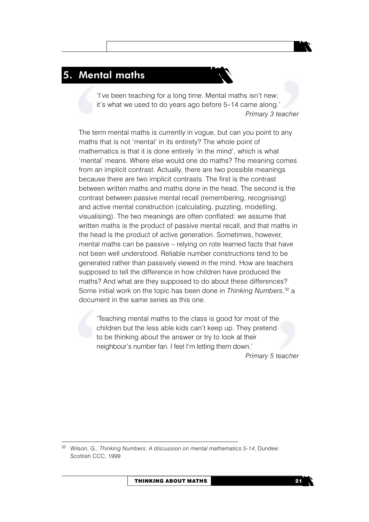### 5. Mental maths

'I've been teaching for a long time. Mental maths isn't new: it's what we used to do years ago before 5-14 came along.' Primary 3 teacher

The term mental maths is currently in yogue, but can you point to any maths that is not 'mental' in its entirety? The whole point of mathematics is that it is done entirely 'in the mind', which is what 'mental' means. Where else would one do maths? The meaning comes from an implicit contrast. Actually, there are two possible meanings because there are two implicit contrasts. The first is the contrast between written maths and maths done in the head. The second is the contrast between passive mental recall (remembering, recognising) and active mental construction (calculating, puzzling, modelling, visualising). The two meanings are often conflated: we assume that written maths is the product of passive mental recall, and that maths in the head is the product of active generation. Sometimes, however, mental maths can be passive – relying on rote learned facts that have not been well understood. Reliable number constructions tend to be generated rather than passively viewed in the mind. How are teachers supposed to tell the difference in how children have produced the maths? And what are they supposed to do about these differences? Some initial work on the topic has been done in Thinking Numbers,<sup>32</sup> a document in the same series as this one.

Teaching mental maths to the class is good for most of the children but the less able kids can't keep up. They pretend to be thinking about the answer or try to look at their neighbour's number fan. I feel I'm letting them down.'

Primary 5 teacher

<sup>32</sup> Wilson, G., Thinking Numbers: A discussion on mental mathematics 5-14, Dundee: Scottish CCC, 1999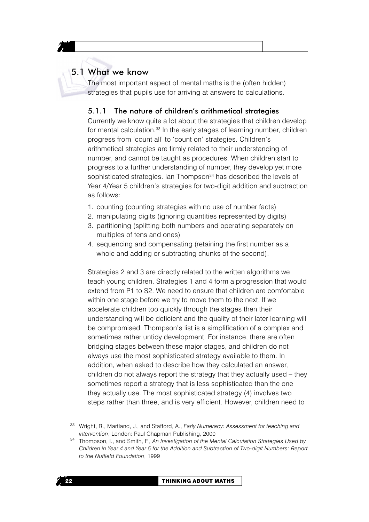### 5.1 What we know

The most important aspect of mental maths is the (often hidden) strategies that pupils use for arriving at answers to calculations.

#### $5.1.1$ The nature of children's arithmetical strategies

Currently we know quite a lot about the strategies that children develop for mental calculation.<sup>33</sup> In the early stages of learning number, children progress from 'count all' to 'count on' strategies. Children's arithmetical strategies are firmly related to their understanding of number, and cannot be taught as procedures. When children start to progress to a further understanding of number, they develop yet more sophisticated strategies. Ian Thompson<sup>34</sup> has described the levels of Year 4/Year 5 children's strategies for two-digit addition and subtraction as follows:

- 1. counting (counting strategies with no use of number facts)
- 2. manipulating digits (ignoring quantities represented by digits)
- 3. partitioning (splitting both numbers and operating separately on multiples of tens and ones)
- 4. sequencing and compensating (retaining the first number as a whole and adding or subtracting chunks of the second).

Strategies 2 and 3 are directly related to the written algorithms we teach young children. Strategies 1 and 4 form a progression that would extend from P1 to S2. We need to ensure that children are comfortable within one stage before we try to move them to the next. If we accelerate children too quickly through the stages then their understanding will be deficient and the quality of their later learning will be compromised. Thompson's list is a simplification of a complex and sometimes rather untidy development. For instance, there are often bridging stages between these major stages, and children do not always use the most sophisticated strategy available to them. In addition, when asked to describe how they calculated an answer, children do not always report the strategy that they actually used - they sometimes report a strategy that is less sophisticated than the one they actually use. The most sophisticated strategy (4) involves two steps rather than three, and is very efficient. However, children need to

<sup>33</sup> Wright, R., Martland, J., and Stafford, A., Early Numeracy: Assessment for teaching and intervention, London: Paul Chapman Publishing, 2000

<sup>&</sup>lt;sup>34</sup> Thompson, I., and Smith, F., An Investigation of the Mental Calculation Strategies Used by Children in Year 4 and Year 5 for the Addition and Subtraction of Two-digit Numbers: Report to the Nuffield Foundation, 1999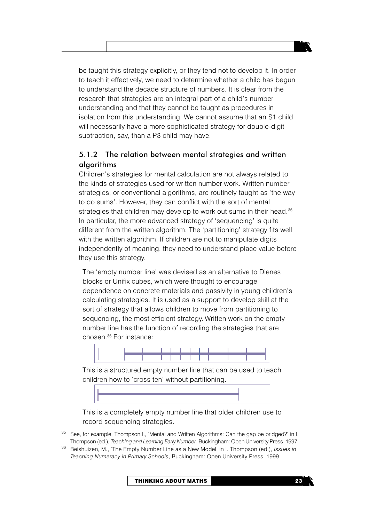be taught this strategy explicitly, or they tend not to develop it. In order to teach it effectively, we need to determine whether a child has begun to understand the decade structure of numbers. It is clear from the research that strategies are an integral part of a child's number understanding and that they cannot be taught as procedures in isolation from this understanding. We cannot assume that an S1 child will necessarily have a more sophisticated strategy for double-digit subtraction, say, than a P3 child may have.

#### 5.1.2 The relation between mental strategies and written **algorithms**

Children's strategies for mental calculation are not always related to the kinds of strategies used for written number work. Written number strategies, or conventional algorithms, are routinely taught as 'the way to do sums'. However, they can conflict with the sort of mental strategies that children may develop to work out sums in their head.<sup>35</sup> In particular, the more advanced strategy of 'sequencing' is quite different from the written algorithm. The 'partitioning' strategy fits well with the written algorithm. If children are not to manipulate digits independently of meaning, they need to understand place value before they use this strategy.

The 'empty number line' was devised as an alternative to Dienes blocks or Unifix cubes, which were thought to encourage dependence on concrete materials and passivity in young children's calculating strategies. It is used as a support to develop skill at the sort of strategy that allows children to move from partitioning to sequencing, the most efficient strategy. Written work on the empty number line has the function of recording the strategies that are chosen.<sup>36</sup> For instance:



This is a structured empty number line that can be used to teach children how to 'cross ten' without partitioning.



This is a completely empty number line that older children use to record sequencing strategies.

35 See, for example, Thompson I., 'Mental and Written Algorithms: Can the gap be bridged?' in I. Thompson (ed.), Teaching and Learning Early Number, Buckingham: Open University Press, 1997.

<sup>36</sup> Beishuizen, M., 'The Empty Number Line as a New Model' in I. Thompson (ed.), *Issues in* Teaching Numeracy in Primary Schools, Buckingham: Open University Press, 1999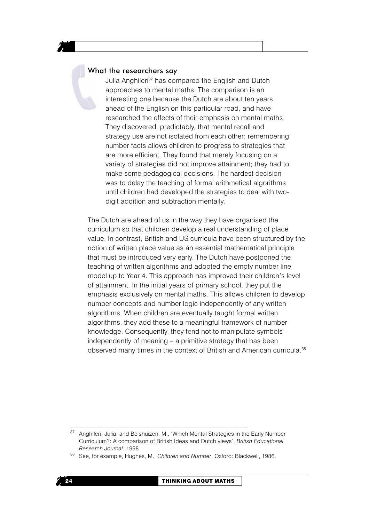#### What the researchers say

Julia Anghileri<sup>37</sup> has compared the English and Dutch approaches to mental maths. The comparison is an interesting one because the Dutch are about ten years ahead of the English on this particular road, and have researched the effects of their emphasis on mental maths. They discovered, predictably, that mental recall and strategy use are not isolated from each other; remembering number facts allows children to progress to strategies that are more efficient. They found that merely focusing on a variety of strategies did not improve attainment; they had to make some pedagogical decisions. The hardest decision was to delay the teaching of formal arithmetical algorithms until children had developed the strategies to deal with twodigit addition and subtraction mentally.

The Dutch are ahead of us in the way they have organised the curriculum so that children develop a real understanding of place value. In contrast, British and US curricula have been structured by the notion of written place value as an essential mathematical principle that must be introduced very early. The Dutch have postponed the teaching of written algorithms and adopted the empty number line model up to Year 4. This approach has improved their children's level of attainment. In the initial years of primary school, they put the emphasis exclusively on mental maths. This allows children to develop number concepts and number logic independently of any written algorithms. When children are eventually taught formal written algorithms, they add these to a meaningful framework of number knowledge. Consequently, they tend not to manipulate symbols independently of meaning  $-$  a primitive strategy that has been observed many times in the context of British and American curricula.<sup>38</sup>

<sup>37</sup> Anghileri, Julia, and Beishuizen, M., 'Which Mental Strategies in the Early Number Curriculum?: A comparison of British Ideas and Dutch views', British Educational Research Journal, 1998

<sup>38</sup> See. for example. Hughes, M., Children and Number, Oxford: Blackwell, 1986.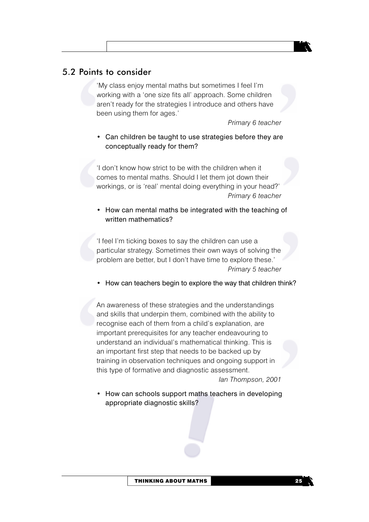#### 5.2 Points to consider

'My class enjoy mental maths but sometimes I feel I'm working with a 'one size fits all' approach. Some children aren't ready for the strategies I introduce and others have been using them for ages.'

Primary 6 teacher

• Can children be taught to use strategies before they are conceptually ready for them?

'I don't know how strict to be with the children when it comes to mental maths. Should I let them jot down their workings, or is 'real' mental doing everything in your head?' Primary 6 teacher

• How can mental maths be integrated with the teaching of written mathematics?

'I feel I'm ticking boxes to say the children can use a particular strategy. Sometimes their own ways of solving the problem are better, but I don't have time to explore these.' Primary 5 teacher

• How can teachers begin to explore the way that children think?

An awareness of these strategies and the understandings and skills that underpin them, combined with the ability to recognise each of them from a child's explanation, are important prerequisites for any teacher endeavouring to understand an individual's mathematical thinking. This is an important first step that needs to be backed up by training in observation techniques and ongoing support in this type of formative and diagnostic assessment.

lan Thompson, 2001

• How can schools support maths teachers in developing appropriate diagnostic skills?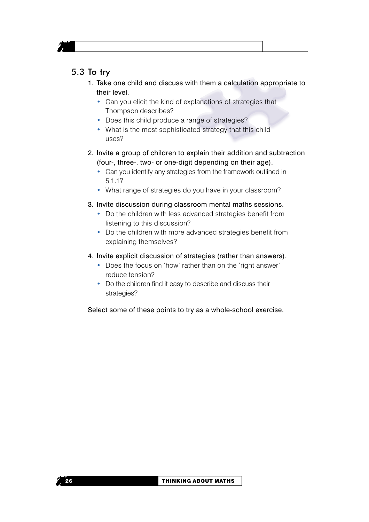#### 5.3 To try

- 1. Take one child and discuss with them a calculation appropriate to their level.
	- Can you elicit the kind of explanations of strategies that Thompson describes?
	- Does this child produce a range of strategies?
	- What is the most sophisticated strategy that this child uses?
- 2. Invite a group of children to explain their addition and subtraction (four-, three-, two- or one-digit depending on their age).
	- Can you identify any strategies from the framework outlined in  $5112$
	- What range of strategies do you have in your classroom?
- 3. Invite discussion during classroom mental maths sessions.
	- Do the children with less advanced strategies benefit from listening to this discussion?
	- Do the children with more advanced strategies benefit from explaining themselves?
- 4. Invite explicit discussion of strategies (rather than answers).
	- Does the focus on 'how' rather than on the 'right answer' reduce tension?
	- Do the children find it easy to describe and discuss their strategies?

Select some of these points to try as a whole-school exercise.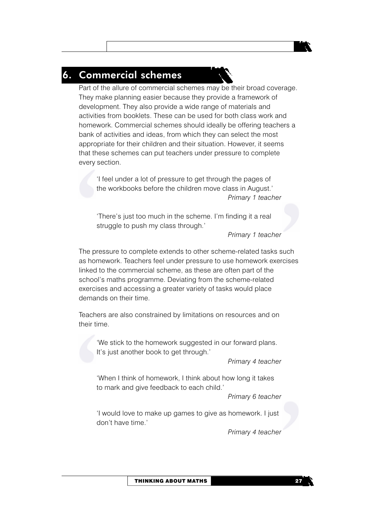### **6. Commercial schemes**

Part of the allure of commercial schemes may be their broad coverage. They make planning easier because they provide a framework of development. They also provide a wide range of materials and activities from booklets. These can be used for both class work and homework. Commercial schemes should ideally be offering teachers a bank of activities and ideas, from which they can select the most appropriate for their children and their situation. However, it seems that these schemes can put teachers under pressure to complete every section.

'I feel under a lot of pressure to get through the pages of the workbooks before the children move class in August.' Primary 1 teacher

'There's just too much in the scheme. I'm finding it a real struggle to push my class through.'

Primary 1 teacher

The pressure to complete extends to other scheme-related tasks such as homework. Teachers feel under pressure to use homework exercises linked to the commercial scheme, as these are often part of the school's maths programme. Deviating from the scheme-related exercises and accessing a greater variety of tasks would place demands on their time.

Teachers are also constrained by limitations on resources and on their time.

'We stick to the homework suggested in our forward plans. It's just another book to get through.'

Primary 4 teacher

'When I think of homework, I think about how long it takes to mark and give feedback to each child.'

Primary 6 teacher

'I would love to make up games to give as homework. I just don't have time.'

Primary 4 teacher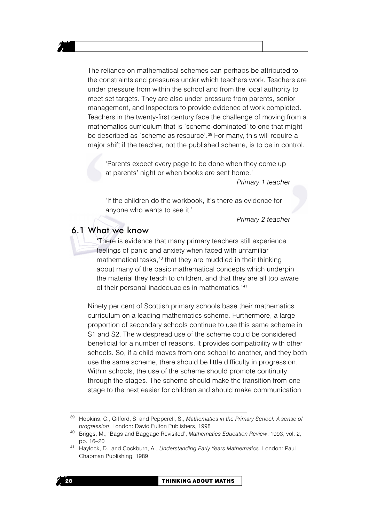The reliance on mathematical schemes can perhaps be attributed to the constraints and pressures under which teachers work. Teachers are under pressure from within the school and from the local authority to meet set targets. They are also under pressure from parents, senior management, and Inspectors to provide evidence of work completed. Teachers in the twenty-first century face the challenge of moving from a mathematics curriculum that is 'scheme-dominated' to one that might be described as 'scheme as resource'.<sup>39</sup> For many, this will require a major shift if the teacher, not the published scheme, is to be in control.

'Parents expect every page to be done when they come up at parents' night or when books are sent home.'

Primary 1 teacher

'If the children do the workbook, it's there as evidence for anyone who wants to see it.'

Primary 2 teacher

#### 6.1 What we know

There is evidence that many primary teachers still experience feelings of panic and anxiety when faced with unfamiliar mathematical tasks,<sup>40</sup> that they are muddled in their thinking about many of the basic mathematical concepts which underpin the material they teach to children, and that they are all too aware of their personal inadequacies in mathematics.<sup>'41</sup>

Ninety per cent of Scottish primary schools base their mathematics curriculum on a leading mathematics scheme. Furthermore, a large proportion of secondary schools continue to use this same scheme in S1 and S2. The widespread use of the scheme could be considered beneficial for a number of reasons. It provides compatibility with other schools. So, if a child moves from one school to another, and they both use the same scheme, there should be little difficulty in progression. Within schools, the use of the scheme should promote continuity through the stages. The scheme should make the transition from one stage to the next easier for children and should make communication

Hopkins, C., Gifford, S. and Pepperell, S., Mathematics in the Primary School: A sense of progression, London: David Fulton Publishers, 1998

<sup>&</sup>lt;sup>40</sup> Briggs, M., 'Bags and Baggage Revisited', Mathematics Education Review, 1993, vol. 2, pp. 16-20

<sup>&</sup>lt;sup>41</sup> Havlock, D., and Cockburn, A., Understanding Early Years Mathematics, London: Paul Chapman Publishing, 1989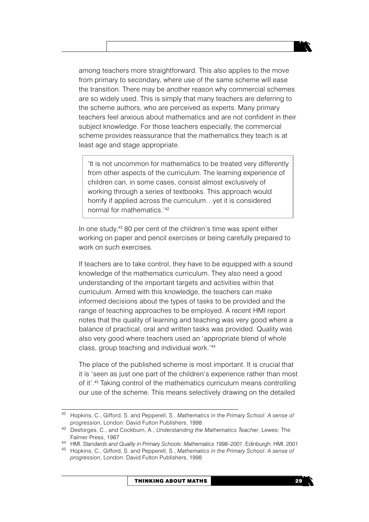among teachers more straightforward. This also applies to the move from primary to secondary, where use of the same scheme will ease the transition. There may be another reason why commercial schemes are so widely used. This is simply that many teachers are deferring to the scheme authors, who are perceived as experts. Many primary teachers feel anxious about mathematics and are not confident in their subject knowledge. For those teachers especially, the commercial scheme provides reassurance that the mathematics they teach is at least age and stage appropriate.

'It is not uncommon for mathematics to be treated very differently from other aspects of the curriculum. The learning experience of children can, in some cases, consist almost exclusively of working through a series of textbooks. This approach would horrify if applied across the curriculum...yet it is considered normal for mathematics.'42

In one study,<sup>43</sup> 80 per cent of the children's time was spent either working on paper and pencil exercises or being carefully prepared to work on such exercises.

If teachers are to take control, they have to be equipped with a sound knowledge of the mathematics curriculum. They also need a good understanding of the important targets and activities within that curriculum. Armed with this knowledge, the teachers can make informed decisions about the types of tasks to be provided and the range of teaching approaches to be employed. A recent HMI report notes that the quality of learning and teaching was very good where a balance of practical, oral and written tasks was provided. Quality was also very good where teachers used an 'appropriate blend of whole class, group teaching and individual work.'44

The place of the published scheme is most important. It is crucial that it is 'seen as just one part of the children's experience rather than most of it'.<sup>45</sup> Taking control of the mathematics curriculum means controlling our use of the scheme. This means selectively drawing on the detailed

<sup>&</sup>lt;sup>42</sup> Hopkins, C., Gifford, S. and Pepperell, S., Mathematics in the Primary School: A sense of progression, London: David Fulton Publishers, 1998

<sup>&</sup>lt;sup>43</sup> Desforges, C., and Cockburn, A., Understanding the Mathematics Teacher, Lewes: The Falmer Press, 1987

<sup>&</sup>lt;sup>44</sup> HMI, Standards and Quality in Primary Schools: Mathematics 1998-2001, Edinburgh: HMI, 2001

<sup>&</sup>lt;sup>45</sup> Hopkins, C., Gifford, S. and Pepperell, S., Mathematics in the Primary School: A sense of progression, London: David Fulton Publishers, 1998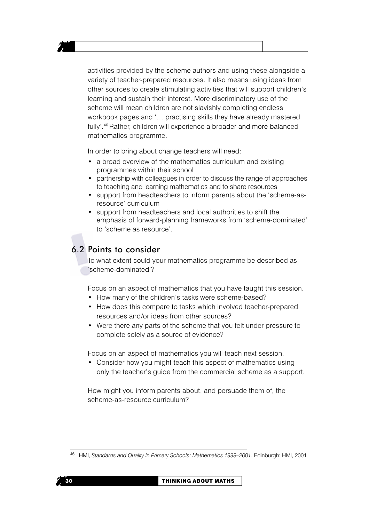activities provided by the scheme authors and using these alongside a variety of teacher-prepared resources. It also means using ideas from other sources to create stimulating activities that will support children's learning and sustain their interest. More discriminatory use of the scheme will mean children are not slavishly completing endless workbook pages and '... practising skills they have already mastered fully'.<sup>46</sup> Rather, children will experience a broader and more balanced mathematics programme.

In order to bring about change teachers will need:

- a broad overview of the mathematics curriculum and existing programmes within their school
- partnership with colleagues in order to discuss the range of approaches to teaching and learning mathematics and to share resources
- support from headteachers to inform parents about the 'scheme-asresource' curriculum
- support from headteachers and local authorities to shift the emphasis of forward-planning frameworks from 'scheme-dominated' to 'scheme as resource'.

### 6.2 Points to consider

To what extent could your mathematics programme be described as 'scheme-dominated'?

Focus on an aspect of mathematics that you have taught this session.

- How many of the children's tasks were scheme-based?
- How does this compare to tasks which involved teacher-prepared resources and/or ideas from other sources?
- Were there any parts of the scheme that you felt under pressure to complete solely as a source of evidence?

Focus on an aspect of mathematics you will teach next session.

• Consider how you might teach this aspect of mathematics using only the teacher's quide from the commercial scheme as a support.

How might you inform parents about, and persuade them of, the scheme-as-resource curriculum?



<sup>&</sup>lt;sup>46</sup> HMI. Standards and Quality in Primary Schools: Mathematics 1998-2001, Edinburgh: HMI, 2001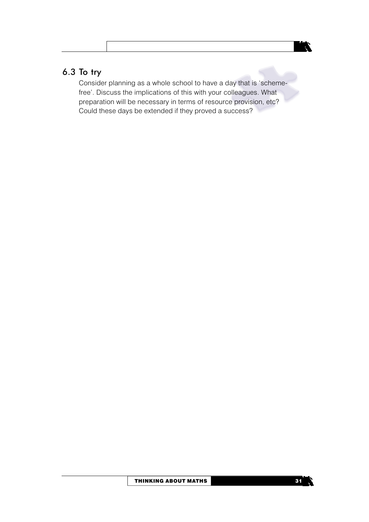### 6.3 To try

Consider planning as a whole school to have a day that is 'schemefree'. Discuss the implications of this with your colleagues. What preparation will be necessary in terms of resource provision, etc? Could these days be extended if they proved a success?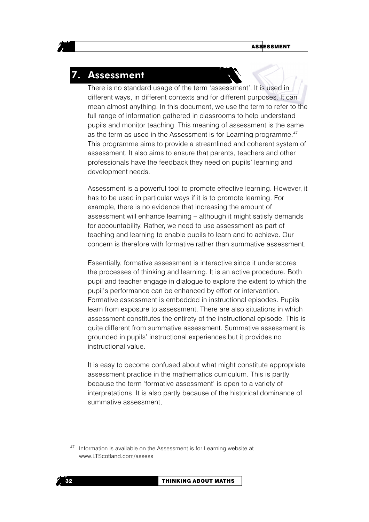### **Assessment**

There is no standard usage of the term 'assessment'. It is used in different ways, in different contexts and for different purposes. It can mean almost anything. In this document, we use the term to refer to the full range of information gathered in classrooms to help understand pupils and monitor teaching. This meaning of assessment is the same as the term as used in the Assessment is for Learning programme.<sup>47</sup> This programme aims to provide a streamlined and coherent system of assessment. It also aims to ensure that parents, teachers and other professionals have the feedback they need on pupils' learning and development needs.

Assessment is a powerful tool to promote effective learning. However, it has to be used in particular ways if it is to promote learning. For example, there is no evidence that increasing the amount of assessment will enhance learning - although it might satisfy demands for accountability. Rather, we need to use assessment as part of teaching and learning to enable pupils to learn and to achieve. Our concern is therefore with formative rather than summative assessment.

Essentially, formative assessment is interactive since it underscores the processes of thinking and learning. It is an active procedure. Both pupil and teacher engage in dialogue to explore the extent to which the pupil's performance can be enhanced by effort or intervention. Formative assessment is embedded in instructional episodes. Pupils learn from exposure to assessment. There are also situations in which assessment constitutes the entirety of the instructional episode. This is quite different from summative assessment. Summative assessment is grounded in pupils' instructional experiences but it provides no instructional value.

It is easy to become confused about what might constitute appropriate assessment practice in the mathematics curriculum. This is partly because the term 'formative assessment' is open to a variety of interpretations. It is also partly because of the historical dominance of summative assessment,



<sup>&</sup>lt;sup>47</sup> Information is available on the Assessment is for Learning website at www.LTScotland.com/assess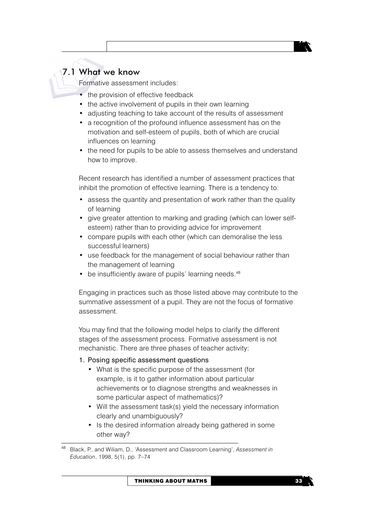### 7.1 What we know

Formative assessment includes:

- the provision of effective feedback
- the active involvement of pupils in their own learning
- adjusting teaching to take account of the results of assessment
- a recognition of the profound influence assessment has on the motivation and self-esteem of pupils, both of which are crucial influences on learning
- the need for pupils to be able to assess themselves and understand how to improve.

Recent research has identified a number of assessment practices that inhibit the promotion of effective learning. There is a tendency to:

- assess the quantity and presentation of work rather than the quality of learning
- give greater attention to marking and grading (which can lower selfesteem) rather than to providing advice for improvement
- compare pupils with each other (which can demoralise the less successful learners)
- use feedback for the management of social behaviour rather than the management of learning
- be insufficiently aware of pupils' learning needs.<sup>48</sup>

Engaging in practices such as those listed above may contribute to the summative assessment of a pupil. They are not the focus of formative assessment.

You may find that the following model helps to clarify the different stages of the assessment process. Formative assessment is not mechanistic. There are three phases of teacher activity:

- 1. Posing specific assessment questions
	- What is the specific purpose of the assessment (for example, is it to gather information about particular achievements or to diagnose strengths and weaknesses in some particular aspect of mathematics)?
	- Will the assessment task(s) yield the necessary information clearly and unambiguously?
	- Is the desired information already being gathered in some other way?

<sup>&</sup>lt;sup>48</sup> Black, P., and Wiliam, D., 'Assessment and Classroom Learning', Assessment in Education, 1998, 5(1), pp. 7-74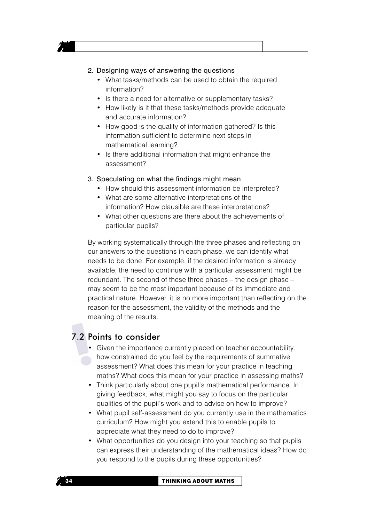

- What tasks/methods can be used to obtain the required information?
- Is there a need for alternative or supplementary tasks?
- How likely is it that these tasks/methods provide adequate and accurate information?
- How good is the quality of information gathered? Is this information sufficient to determine next steps in mathematical learning?
- Is there additional information that might enhance the assessment?

#### 3. Speculating on what the findings might mean

- How should this assessment information be interpreted?
- What are some alternative interpretations of the information? How plausible are these interpretations?
- What other questions are there about the achievements of particular pupils?

By working systematically through the three phases and reflecting on our answers to the questions in each phase, we can identify what needs to be done. For example, if the desired information is already available, the need to continue with a particular assessment might be redundant. The second of these three phases – the design phase – may seem to be the most important because of its immediate and practical nature. However, it is no more important than reflecting on the reason for the assessment, the validity of the methods and the meaning of the results.

#### 7.2 Points to consider

- Given the importance currently placed on teacher accountability, how constrained do you feel by the requirements of summative assessment? What does this mean for your practice in teaching maths? What does this mean for your practice in assessing maths?
- Think particularly about one pupil's mathematical performance. In giving feedback, what might you say to focus on the particular qualities of the pupil's work and to advise on how to improve?
- What pupil self-assessment do you currently use in the mathematics curriculum? How might you extend this to enable pupils to appreciate what they need to do to improve?
- What opportunities do you design into your teaching so that pupils can express their understanding of the mathematical ideas? How do you respond to the pupils during these opportunities?

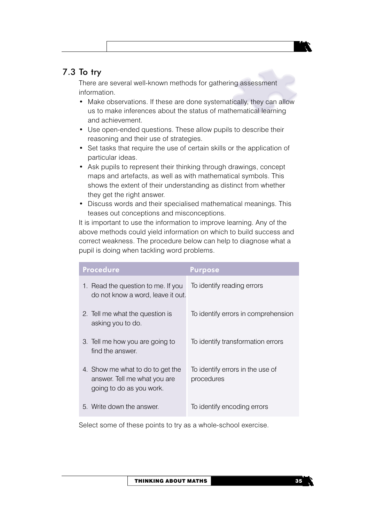### 7.3 To try

There are several well-known methods for gathering assessment information.

- Make observations. If these are done systematically, they can allow us to make inferences about the status of mathematical learning and achievement.
- Use open-ended questions. These allow pupils to describe their reasoning and their use of strategies.
- Set tasks that require the use of certain skills or the application of particular ideas.
- Ask pupils to represent their thinking through drawings, concept maps and artefacts, as well as with mathematical symbols. This shows the extent of their understanding as distinct from whether they get the right answer.
- Discuss words and their specialised mathematical meanings. This teases out conceptions and misconceptions.

It is important to use the information to improve learning. Any of the above methods could yield information on which to build success and correct weakness. The procedure below can help to diagnose what a pupil is doing when tackling word problems.

| Procedure                                                                                    | Purpose                                        |
|----------------------------------------------------------------------------------------------|------------------------------------------------|
| 1. Read the question to me. If you<br>do not know a word, leave it out.                      | To identify reading errors                     |
| 2. Tell me what the question is<br>asking you to do.                                         | To identify errors in comprehension            |
| 3. Tell me how you are going to<br>find the answer.                                          | To identify transformation errors              |
| 4. Show me what to do to get the<br>answer. Tell me what you are<br>going to do as you work. | To identify errors in the use of<br>procedures |
| 5. Write down the answer.                                                                    | To identify encoding errors                    |

Select some of these points to try as a whole-school exercise.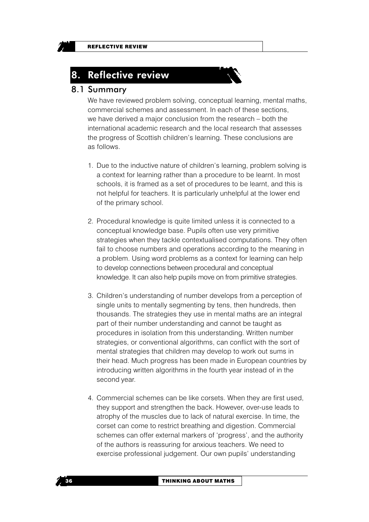### **Reflective review**

#### 8.1 Summary

We have reviewed problem solving, conceptual learning, mental maths, commercial schemes and assessment. In each of these sections. we have derived a major conclusion from the research – both the international academic research and the local research that assesses the progress of Scottish children's learning. These conclusions are as follows

- 1. Due to the inductive nature of children's learning, problem solving is a context for learning rather than a procedure to be learnt. In most schools, it is framed as a set of procedures to be learnt, and this is not helpful for teachers. It is particularly unhelpful at the lower end of the primary school.
- 2. Procedural knowledge is quite limited unless it is connected to a conceptual knowledge base. Pupils often use very primitive strategies when they tackle contextualised computations. They often fail to choose numbers and operations according to the meaning in a problem. Using word problems as a context for learning can help to develop connections between procedural and conceptual knowledge. It can also help pupils move on from primitive strategies.
- 3. Children's understanding of number develops from a perception of single units to mentally segmenting by tens, then hundreds, then thousands. The strategies they use in mental maths are an integral part of their number understanding and cannot be taught as procedures in isolation from this understanding. Written number strategies, or conventional algorithms, can conflict with the sort of mental strategies that children may develop to work out sums in their head. Much progress has been made in European countries by introducing written algorithms in the fourth year instead of in the second year.
- 4. Commercial schemes can be like corsets. When they are first used. they support and strengthen the back. However, over-use leads to atrophy of the muscles due to lack of natural exercise. In time, the corset can come to restrict breathing and digestion. Commercial schemes can offer external markers of 'progress', and the authority of the authors is reassuring for anxious teachers. We need to exercise professional judgement. Our own pupils' understanding

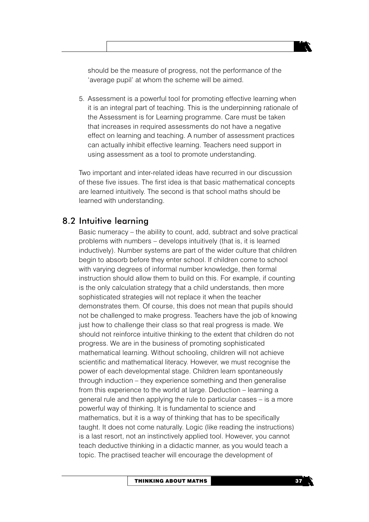should be the measure of progress, not the performance of the 'average pupil' at whom the scheme will be aimed.

5. Assessment is a powerful tool for promoting effective learning when it is an integral part of teaching. This is the underpinning rationale of the Assessment is for Learning programme. Care must be taken that increases in required assessments do not have a negative effect on learning and teaching. A number of assessment practices can actually inhibit effective learning. Teachers need support in using assessment as a tool to promote understanding.

Two important and inter-related ideas have recurred in our discussion of these five issues. The first idea is that basic mathematical concepts are learned intuitively. The second is that school maths should be learned with understanding.

#### 8.2 Intuitive learning

Basic numeracy – the ability to count, add, subtract and solve practical problems with numbers – develops intuitively (that is, it is learned inductively). Number systems are part of the wider culture that children begin to absorb before they enter school. If children come to school with varying degrees of informal number knowledge, then formal instruction should allow them to build on this. For example, if counting is the only calculation strategy that a child understands, then more sophisticated strategies will not replace it when the teacher demonstrates them. Of course, this does not mean that pupils should not be challenged to make progress. Teachers have the job of knowing just how to challenge their class so that real progress is made. We should not reinforce intuitive thinking to the extent that children do not progress. We are in the business of promoting sophisticated mathematical learning. Without schooling, children will not achieve scientific and mathematical literacy. However, we must recognise the power of each developmental stage. Children learn spontaneously through induction – they experience something and then generalise from this experience to the world at large. Deduction – learning a general rule and then applying the rule to particular cases – is a more powerful way of thinking. It is fundamental to science and mathematics, but it is a way of thinking that has to be specifically taught. It does not come naturally. Logic (like reading the instructions) is a last resort, not an instinctively applied tool. However, you cannot teach deductive thinking in a didactic manner, as you would teach a topic. The practised teacher will encourage the development of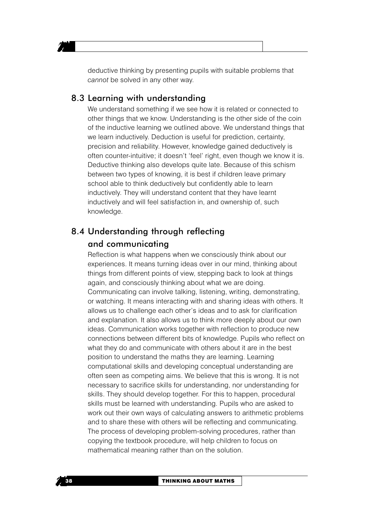deductive thinking by presenting pupils with suitable problems that cannot be solved in any other way.

#### 8.3 Learning with understanding

We understand something if we see how it is related or connected to other things that we know. Understanding is the other side of the coin of the inductive learning we outlined above. We understand things that we learn inductively. Deduction is useful for prediction, certainty, precision and reliability. However, knowledge gained deductively is often counter-intuitive; it doesn't 'feel' right, even though we know it is. Deductive thinking also develops quite late. Because of this schism between two types of knowing, it is best if children leave primary school able to think deductively but confidently able to learn inductively. They will understand content that they have learnt inductively and will feel satisfaction in, and ownership of, such knowledge.

### 8.4 Understanding through reflecting and communicating

Reflection is what happens when we consciously think about our experiences. It means turning ideas over in our mind, thinking about things from different points of view, stepping back to look at things again, and consciously thinking about what we are doing. Communicating can involve talking, listening, writing, demonstrating, or watching. It means interacting with and sharing ideas with others. It allows us to challenge each other's ideas and to ask for clarification and explanation. It also allows us to think more deeply about our own ideas. Communication works together with reflection to produce new connections between different bits of knowledge. Pupils who reflect on what they do and communicate with others about it are in the best position to understand the maths they are learning. Learning computational skills and developing conceptual understanding are often seen as competing aims. We believe that this is wrong. It is not necessary to sacrifice skills for understanding, nor understanding for skills. They should develop together. For this to happen, procedural skills must be learned with understanding. Pupils who are asked to work out their own ways of calculating answers to arithmetic problems and to share these with others will be reflecting and communicating. The process of developing problem-solving procedures, rather than copying the textbook procedure, will help children to focus on mathematical meaning rather than on the solution.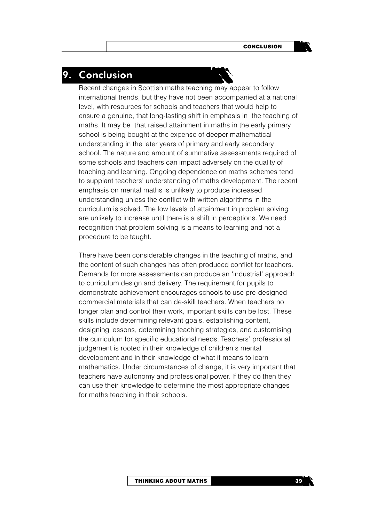### 9. Conclusion

Recent changes in Scottish maths teaching may appear to follow international trends, but they have not been accompanied at a national level, with resources for schools and teachers that would help to ensure a genuine, that long-lasting shift in emphasis in the teaching of maths. It may be that raised attainment in maths in the early primary school is being bought at the expense of deeper mathematical understanding in the later years of primary and early secondary school. The nature and amount of summative assessments required of some schools and teachers can impact adversely on the quality of teaching and learning. Ongoing dependence on maths schemes tend to supplant teachers' understanding of maths development. The recent emphasis on mental maths is unlikely to produce increased understanding unless the conflict with written algorithms in the curriculum is solved. The low levels of attainment in problem solving are unlikely to increase until there is a shift in perceptions. We need recognition that problem solving is a means to learning and not a procedure to be taught.

There have been considerable changes in the teaching of maths, and the content of such changes has often produced conflict for teachers. Demands for more assessments can produce an 'industrial' approach to curriculum design and delivery. The requirement for pupils to demonstrate achievement encourages schools to use pre-designed commercial materials that can de-skill teachers. When teachers no longer plan and control their work, important skills can be lost. These skills include determining relevant goals, establishing content, designing lessons, determining teaching strategies, and customising the curriculum for specific educational needs. Teachers' professional judgement is rooted in their knowledge of children's mental development and in their knowledge of what it means to learn mathematics. Under circumstances of change, it is very important that teachers have autonomy and professional power. If they do then they can use their knowledge to determine the most appropriate changes for maths teaching in their schools.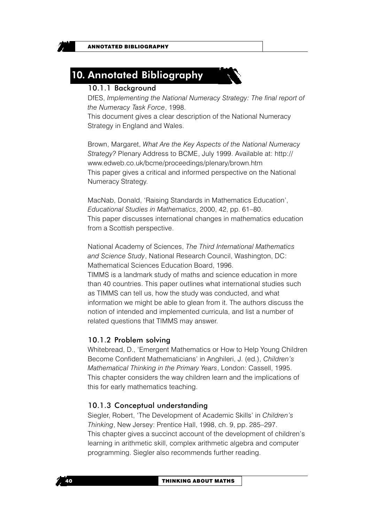**ANNOTATED BIBLIOGRAPHY** 

### 10. Annotated Bibliography

#### 10.1.1 Background

DfES, Implementing the National Numeracy Strategy: The final report of the Numeracy Task Force, 1998.

This document gives a clear description of the National Numeracy Strategy in England and Wales.

Brown, Margaret, What Are the Key Aspects of the National Numeracy Strategy? Plenary Address to BCME, July 1999. Available at: http:// www.edweb.co.uk/bcme/proceedings/plenary/brown.htm This paper gives a critical and informed perspective on the National Numeracy Strategy.

MacNab, Donald, 'Raising Standards in Mathematics Education', Educational Studies in Mathematics, 2000, 42, pp. 61-80. This paper discusses international changes in mathematics education from a Scottish perspective.

National Academy of Sciences, The Third International Mathematics and Science Study, National Research Council, Washington, DC: Mathematical Sciences Education Board, 1996.

TIMMS is a landmark study of maths and science education in more than 40 countries. This paper outlines what international studies such as TIMMS can tell us, how the study was conducted, and what information we might be able to glean from it. The authors discuss the notion of intended and implemented curricula, and list a number of related questions that TIMMS may answer.

#### 10.1.2 Problem solving

Whitebread, D., 'Emergent Mathematics or How to Help Young Children Become Confident Mathematicians' in Anghileri, J. (ed.), Children's Mathematical Thinking in the Primary Years, London: Cassell, 1995. This chapter considers the way children learn and the implications of this for early mathematics teaching.

#### 10.1.3 Conceptual understanding

Siegler, Robert, 'The Development of Academic Skills' in Children's Thinking, New Jersey: Prentice Hall, 1998, ch. 9, pp. 285-297. This chapter gives a succinct account of the development of children's learning in arithmetic skill, complex arithmetic algebra and computer programming. Siegler also recommends further reading.

40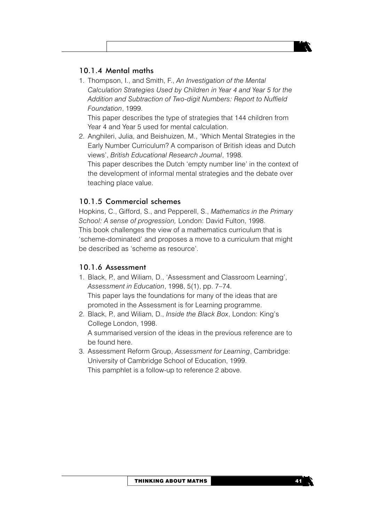#### 10.1.4 Mental maths

1. Thompson, I., and Smith, F., An Investigation of the Mental Calculation Strategies Used by Children in Year 4 and Year 5 for the Addition and Subtraction of Two-digit Numbers: Report to Nuffield Foundation, 1999.

This paper describes the type of strategies that 144 children from Year 4 and Year 5 used for mental calculation.

2. Anghileri, Julia, and Beishuizen, M., 'Which Mental Strategies in the Early Number Curriculum? A comparison of British ideas and Dutch views', British Educational Research Journal, 1998. This paper describes the Dutch 'empty number line' in the context of the development of informal mental strategies and the debate over teaching place value.

#### 10.1.5 Commercial schemes

Hopkins, C., Gifford, S., and Pepperell, S., Mathematics in the Primary School: A sense of progression, London: David Fulton, 1998. This book challenges the view of a mathematics curriculum that is 'scheme-dominated' and proposes a move to a curriculum that might he described as 'scheme as resource'.

#### 10.1.6 Assessment

- 1. Black, P., and Wiliam, D., 'Assessment and Classroom Learning', Assessment in Education, 1998, 5(1), pp. 7-74. This paper lays the foundations for many of the ideas that are promoted in the Assessment is for Learning programme.
- 2. Black, P., and Wiliam, D., *Inside the Black Box*, London: King's College London, 1998. A summarised version of the ideas in the previous reference are to be found here.
- 3. Assessment Reform Group, Assessment for Learning, Cambridge: University of Cambridge School of Education, 1999. This pamphlet is a follow-up to reference 2 above.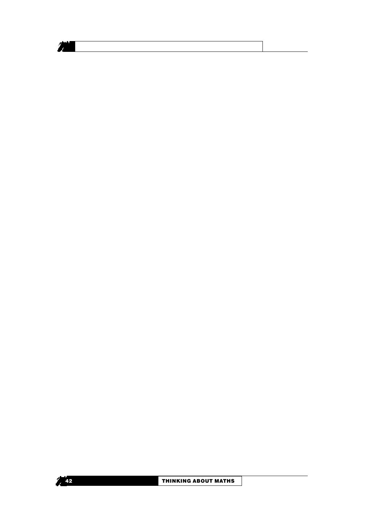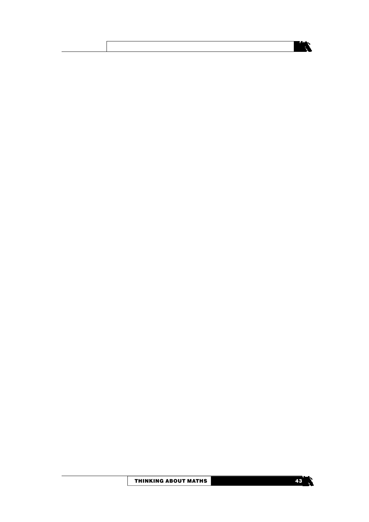

n.